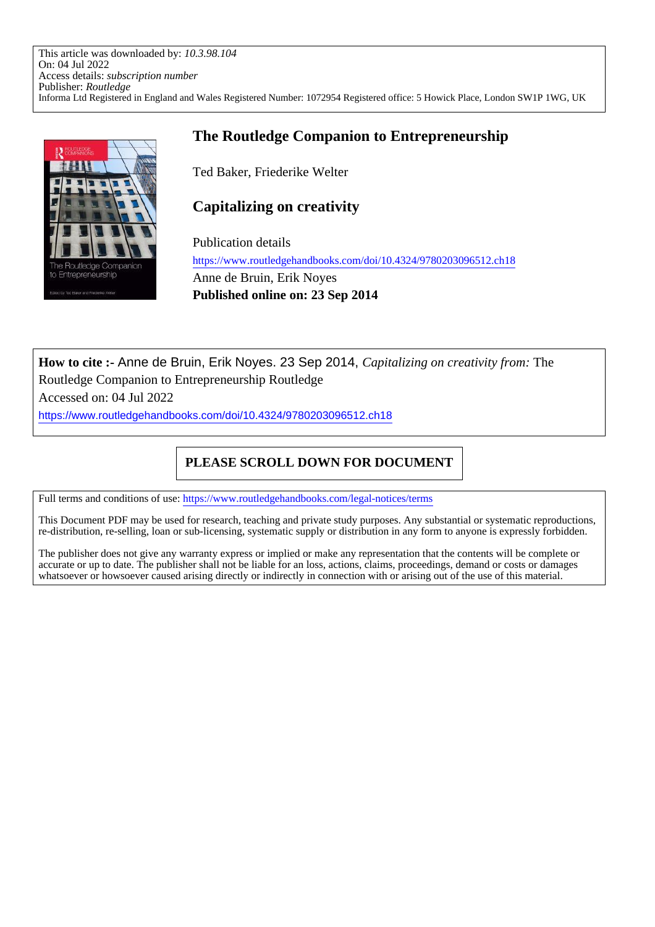This article was downloaded by: *10.3.98.104* On: 04 Jul 2022 Access details: *subscription number* Publisher: *Routledge* Informa Ltd Registered in England and Wales Registered Number: 1072954 Registered office: 5 Howick Place, London SW1P 1WG, UK



# **The Routledge Companion to Entrepreneurship**

Ted Baker, Friederike Welter

# **Capitalizing on creativity**

Publication details https://www.routledgehandbooks.com/doi/10.4324/9780203096512.ch18 Anne de Bruin, Erik Noyes **Published online on: 23 Sep 2014**

**How to cite :-** Anne de Bruin, Erik Noyes. 23 Sep 2014, *Capitalizing on creativity from:* The Routledge Companion to Entrepreneurship Routledge

Accessed on: 04 Jul 2022

https://www.routledgehandbooks.com/doi/10.4324/9780203096512.ch18

# **PLEASE SCROLL DOWN FOR DOCUMENT**

Full terms and conditions of use: https://www.routledgehandbooks.com/legal-notices/terms

This Document PDF may be used for research, teaching and private study purposes. Any substantial or systematic reproductions, re-distribution, re-selling, loan or sub-licensing, systematic supply or distribution in any form to anyone is expressly forbidden.

The publisher does not give any warranty express or implied or make any representation that the contents will be complete or accurate or up to date. The publisher shall not be liable for an loss, actions, claims, proceedings, demand or costs or damages whatsoever or howsoever caused arising directly or indirectly in connection with or arising out of the use of this material.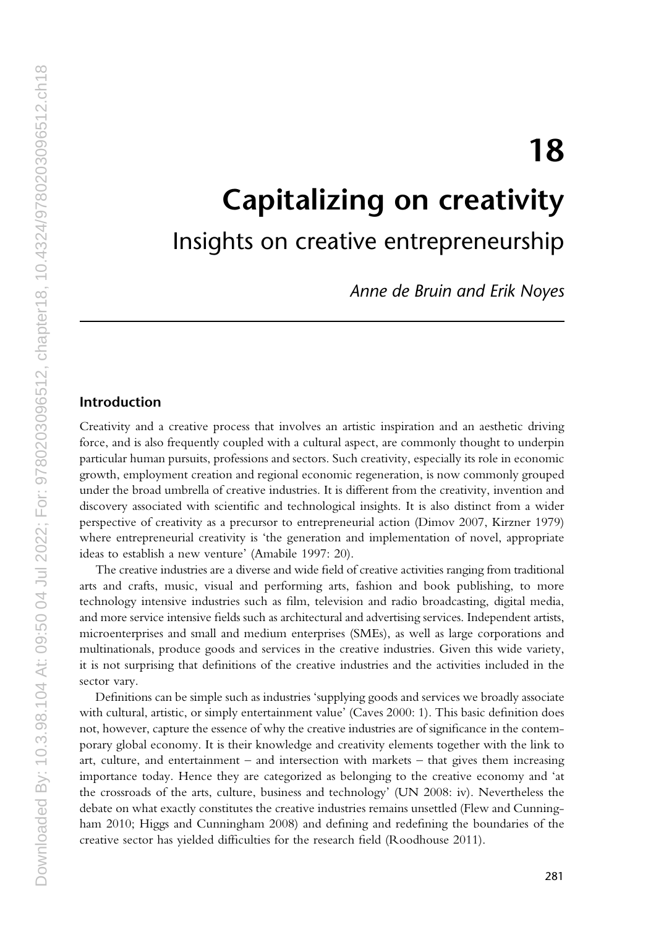# **18 Capitalizing on creativity**  Insights on creative entrepreneurship

*Anne de Bruin and Erik Noyes* 

#### **Introduction**

Creativity and a creative process that involves an artistic inspiration and an aesthetic driving force, and is also frequently coupled with a cultural aspect, are commonly thought to underpin particular human pursuits, professions and sectors. Such creativity, especially its role in economic growth, employment creation and regional economic regeneration, is now commonly grouped under the broad umbrella of creative industries. It is different from the creativity, invention and discovery associated with scientific and technological insights. It is also distinct from a wider perspective of creativity as a precursor to entrepreneurial action (Dimov 2007, Kirzner 1979) where entrepreneurial creativity is 'the generation and implementation of novel, appropriate ideas to establish a new venture' (Amabile 1997: 20).

The creative industries are a diverse and wide field of creative activities ranging from traditional arts and crafts, music, visual and performing arts, fashion and book publishing, to more technology intensive industries such as film, television and radio broadcasting, digital media, and more service intensive fields such as architectural and advertising services. Independent artists, microenterprises and small and medium enterprises (SMEs), as well as large corporations and multinationals, produce goods and services in the creative industries. Given this wide variety, it is not surprising that definitions of the creative industries and the activities included in the sector vary.

Definitions can be simple such as industries 'supplying goods and services we broadly associate with cultural, artistic, or simply entertainment value' (Caves 2000: 1). This basic definition does not, however, capture the essence of why the creative industries are of significance in the contem porary global economy. It is their knowledge and creativity elements together with the link to art, culture, and entertainment – and intersection with markets – that gives them increasing importance today. Hence they are categorized as belonging to the creative economy and 'at the crossroads of the arts, culture, business and technology' (UN 2008: iv). Nevertheless the debate on what exactly constitutes the creative industries remains unsettled (Flew and Cunning ham 2010; Higgs and Cunningham 2008) and defining and redefining the boundaries of the creative sector has yielded difficulties for the research field (Roodhouse 2011).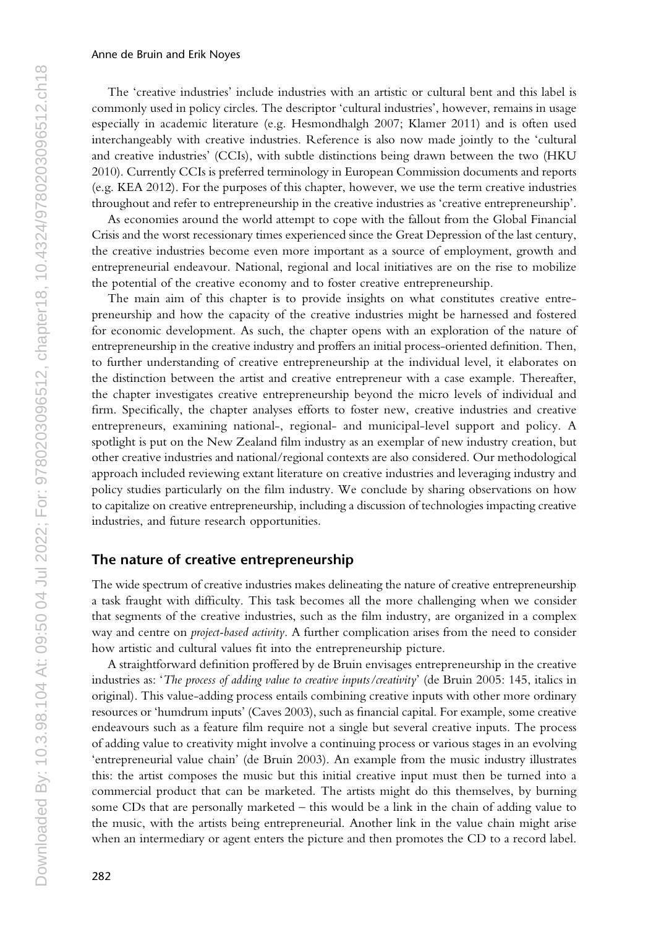The 'creative industries' include industries with an artistic or cultural bent and this label is commonly used in policy circles. The descriptor 'cultural industries', however, remains in usage especially in academic literature (e.g. Hesmondhalgh 2007; Klamer 2011) and is often used interchangeably with creative industries. Reference is also now made jointly to the 'cultural and creative industries' (CCIs), with subtle distinctions being drawn between the two (HKU 2010). Currently CCIs is preferred terminology in European Commission documents and reports (e.g. KEA 2012). For the purposes of this chapter, however, we use the term creative industries throughout and refer to entrepreneurship in the creative industries as 'creative entrepreneurship'.

As economies around the world attempt to cope with the fallout from the Global Financial Crisis and the worst recessionary times experienced since the Great Depression of the last century, the creative industries become even more important as a source of employment, growth and entrepreneurial endeavour. National, regional and local initiatives are on the rise to mobilize the potential of the creative economy and to foster creative entrepreneurship.

The main aim of this chapter is to provide insights on what constitutes creative entre preneurship and how the capacity of the creative industries might be harnessed and fostered for economic development. As such, the chapter opens with an exploration of the nature of entrepreneurship in the creative industry and proffers an initial process-oriented definition. Then, to further understanding of creative entrepreneurship at the individual level, it elaborates on the distinction between the artist and creative entrepreneur with a case example. Thereafter, the chapter investigates creative entrepreneurship beyond the micro levels of individual and firm. Specifically, the chapter analyses efforts to foster new, creative industries and creative entrepreneurs, examining national-, regional- and municipal-level support and policy. A spotlight is put on the New Zealand film industry as an exemplar of new industry creation, but other creative industries and national/regional contexts are also considered. Our methodological approach included reviewing extant literature on creative industries and leveraging industry and policy studies particularly on the film industry. We conclude by sharing observations on how to capitalize on creative entrepreneurship, including a discussion of technologies impacting creative industries, and future research opportunities.

#### **The nature of creative entrepreneurship**

The wide spectrum of creative industries makes delineating the nature of creative entrepreneurship a task fraught with difficulty. This task becomes all the more challenging when we consider that segments of the creative industries, such as the film industry, are organized in a complex way and centre on *project-based activity*. A further complication arises from the need to consider how artistic and cultural values fit into the entrepreneurship picture.

A straightforward definition proffered by de Bruin envisages entrepreneurship in the creative industries as: '*The process of adding value to creative inputs/creativity*' (de Bruin 2005: 145, italics in original). This value-adding process entails combining creative inputs with other more ordinary resources or 'humdrum inputs' (Caves 2003), such as financial capital. For example, some creative endeavours such as a feature film require not a single but several creative inputs. The process of adding value to creativity might involve a continuing process or various stages in an evolving 'entrepreneurial value chain' (de Bruin 2003). An example from the music industry illustrates this: the artist composes the music but this initial creative input must then be turned into a commercial product that can be marketed. The artists might do this themselves, by burning some CDs that are personally marketed – this would be a link in the chain of adding value to the music, with the artists being entrepreneurial. Another link in the value chain might arise when an intermediary or agent enters the picture and then promotes the CD to a record label.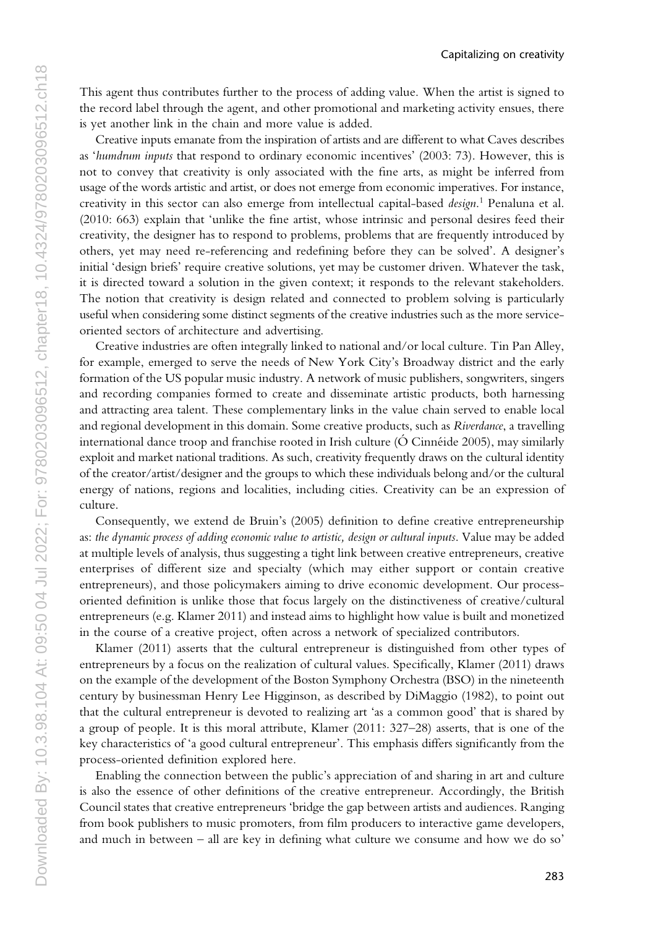This agent thus contributes further to the process of adding value. When the artist is signed to the record label through the agent, and other promotional and marketing activity ensues, there is yet another link in the chain and more value is added.

Creative inputs emanate from the inspiration of artists and are different to what Caves describes as '*humdrum inputs* that respond to ordinary economic incentives' (2003: 73). However, this is not to convey that creativity is only associated with the fine arts, as might be inferred from usage of the words artistic and artist, or does not emerge from economic imperatives. For instance, creativity in this sector can also emerge from intellectual capital-based *design*. 1 Penaluna et al. (2010: 663) explain that 'unlike the fine artist, whose intrinsic and personal desires feed their creativity, the designer has to respond to problems, problems that are frequently introduced by others, yet may need re-referencing and redefining before they can be solved'. A designer's initial 'design briefs' require creative solutions, yet may be customer driven. Whatever the task, it is directed toward a solution in the given context; it responds to the relevant stakeholders. The notion that creativity is design related and connected to problem solving is particularly useful when considering some distinct segments of the creative industries such as the more serviceoriented sectors of architecture and advertising.

Creative industries are often integrally linked to national and/or local culture. Tin Pan Alley, for example, emerged to serve the needs of New York City's Broadway district and the early formation of the US popular music industry. A network of music publishers, songwriters, singers and recording companies formed to create and disseminate artistic products, both harnessing and attracting area talent. These complementary links in the value chain served to enable local and regional development in this domain. Some creative products, such as *Riverdance*, a travelling international dance troop and franchise rooted in Irish culture (Ó Cinnéide 2005), may similarly exploit and market national traditions. As such, creativity frequently draws on the cultural identity of the creator/artist/designer and the groups to which these individuals belong and/or the cultural energy of nations, regions and localities, including cities. Creativity can be an expression of culture.

Consequently, we extend de Bruin's (2005) definition to define creative entrepreneurship as: *the dynamic process of adding economic value to artistic, design or cultural inputs*. Value may be added at multiple levels of analysis, thus suggesting a tight link between creative entrepreneurs, creative enterprises of different size and specialty (which may either support or contain creative entrepreneurs), and those policymakers aiming to drive economic development. Our processoriented definition is unlike those that focus largely on the distinctiveness of creative/cultural entrepreneurs (e.g. Klamer 2011) and instead aims to highlight how value is built and monetized in the course of a creative project, often across a network of specialized contributors.

Klamer (2011) asserts that the cultural entrepreneur is distinguished from other types of entrepreneurs by a focus on the realization of cultural values. Specifically, Klamer (2011) draws on the example of the development of the Boston Symphony Orchestra (BSO) in the nineteenth century by businessman Henry Lee Higginson, as described by DiMaggio (1982), to point out that the cultural entrepreneur is devoted to realizing art 'as a common good' that is shared by a group of people. It is this moral attribute, Klamer (2011: 327–28) asserts, that is one of the key characteristics of 'a good cultural entrepreneur'. This emphasis differs significantly from the process-oriented definition explored here.

Enabling the connection between the public's appreciation of and sharing in art and culture is also the essence of other definitions of the creative entrepreneur. Accordingly, the British Council states that creative entrepreneurs 'bridge the gap between artists and audiences. Ranging from book publishers to music promoters, from film producers to interactive game developers, and much in between – all are key in defining what culture we consume and how we do so'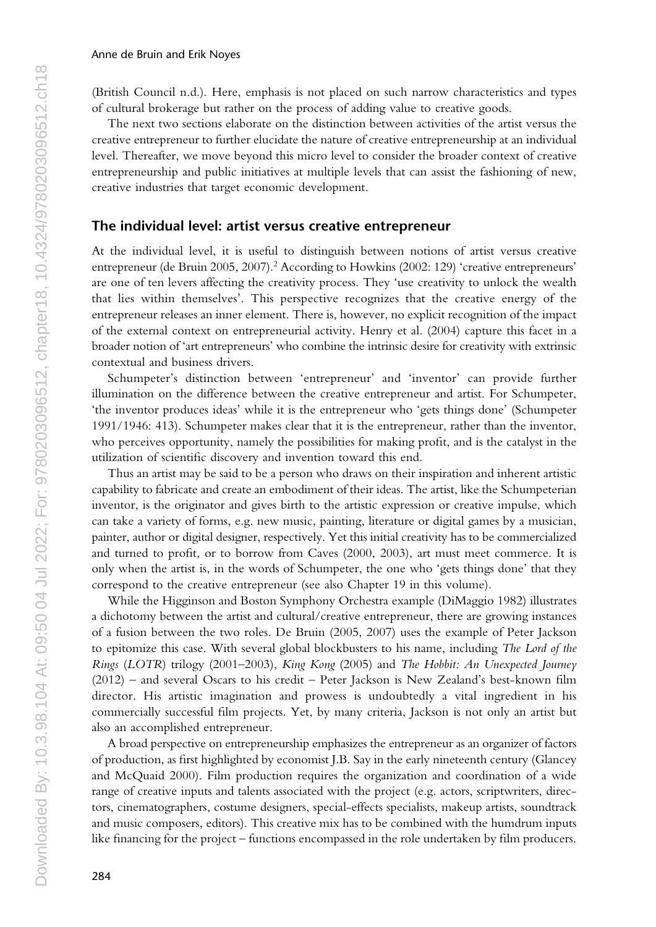(British Council n.d.). Here, emphasis is not placed on such narrow characteristics and types of cultural brokerage but rather on the process of adding value to creative goods.

The next two sections elaborate on the distinction between activities of the artist versus the creative entrepreneur to further elucidate the nature of creative entrepreneurship at an individual level. Thereafter, we move beyond this micro level to consider the broader context of creative entrepreneurship and public initiatives at multiple levels that can assist the fashioning of new, creative industries that target economic development.

#### **The individual level: artist versus creative entrepreneur**

At the individual level, it is useful to distinguish between notions of artist versus creative entrepreneur (de Bruin 2005, 2007).<sup>2</sup> According to Howkins (2002: 129) 'creative entrepreneurs' are one of ten levers affecting the creativity process. They 'use creativity to unlock the wealth that lies within themselves'. This perspective recognizes that the creative energy of the entrepreneur releases an inner element. There is, however, no explicit recognition of the impact of the external context on entrepreneurial activity. Henry et al. (2004) capture this facet in a broader notion of 'art entrepreneurs' who combine the intrinsic desire for creativity with extrinsic contextual and business drivers.

Schumpeter's distinction between 'entrepreneur' and 'inventor' can provide further illumination on the difference between the creative entrepreneur and artist. For Schumpeter, 'the inventor produces ideas' while it is the entrepreneur who 'gets things done' (Schumpeter 1991/1946: 413). Schumpeter makes clear that it is the entrepreneur, rather than the inventor, who perceives opportunity, namely the possibilities for making profit, and is the catalyst in the utilization of scientific discovery and invention toward this end.

Thus an artist may be said to be a person who draws on their inspiration and inherent artistic capability to fabricate and create an embodiment of their ideas. The artist, like the Schumpeterian inventor, is the originator and gives birth to the artistic expression or creative impulse, which can take a variety of forms, e.g. new music, painting, literature or digital games by a musician, painter, author or digital designer, respectively. Yet this initial creativity has to be commercialized and turned to profit, or to borrow from Caves (2000, 2003), art must meet commerce. It is only when the artist is, in the words of Schumpeter, the one who 'gets things done' that they correspond to the creative entrepreneur (see also Chapter 19 in this volume).

While the Higginson and Boston Symphony Orchestra example (DiMaggio 1982) illustrates a dichotomy between the artist and cultural/creative entrepreneur, there are growing instances of a fusion between the two roles. De Bruin (2005, 2007) uses the example of Peter Jackson to epitomize this case. With several global blockbusters to his name, including *The Lord of the Rings* (*LOTR*) trilogy (2001–2003), *King Kong* (2005) and *The Hobbit: An Unexpected Journey*  (2012) – and several Oscars to his credit – Peter Jackson is New Zealand's best-known film director. His artistic imagination and prowess is undoubtedly a vital ingredient in his commercially successful film projects. Yet, by many criteria, Jackson is not only an artist but also an accomplished entrepreneur.

A broad perspective on entrepreneurship emphasizes the entrepreneur as an organizer of factors of production, as first highlighted by economist J.B. Say in the early nineteenth century (Glancey and McQuaid 2000). Film production requires the organization and coordination of a wide range of creative inputs and talents associated with the project (e.g. actors, scriptwriters, direc tors, cinematographers, costume designers, special-effects specialists, makeup artists, soundtrack and music composers, editors). This creative mix has to be combined with the humdrum inputs like financing for the project – functions encompassed in the role undertaken by film producers.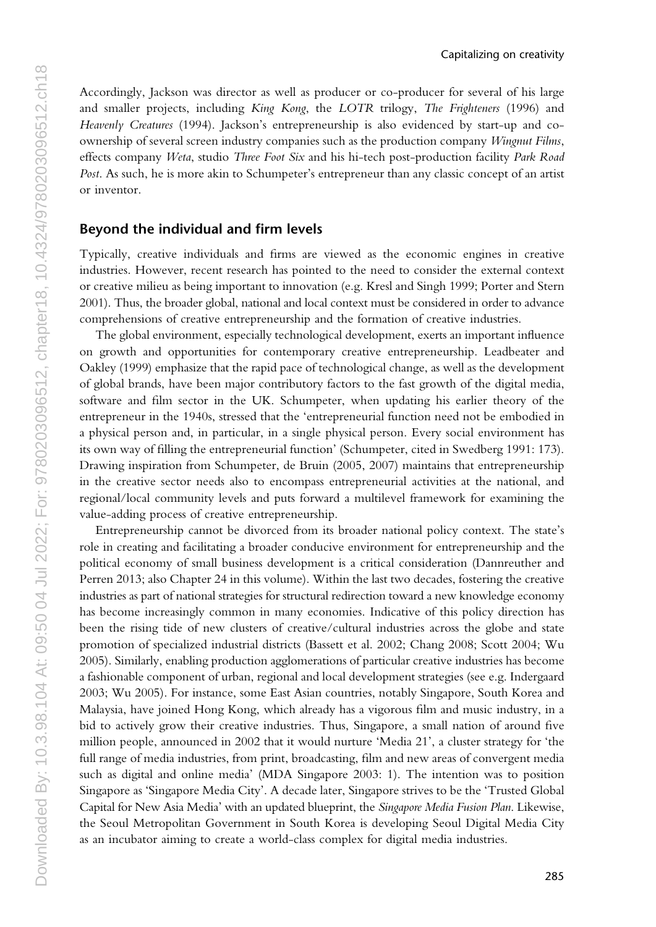Accordingly, Jackson was director as well as producer or co-producer for several of his large and smaller projects, including *King Kong*, the *LOTR* trilogy, *The Frighteners* (1996) and *Heavenly Creatures* (1994). Jackson's entrepreneurship is also evidenced by start-up and coownership of several screen industry companies such as the production company *Wingnut Films*, effects company *Weta*, studio *Three Foot Six* and his hi-tech post-production facility *Park Road Post*. As such, he is more akin to Schumpeter's entrepreneur than any classic concept of an artist or inventor.

## **Beyond the individual and firm levels**

Typically, creative individuals and firms are viewed as the economic engines in creative industries. However, recent research has pointed to the need to consider the external context or creative milieu as being important to innovation (e.g. Kresl and Singh 1999; Porter and Stern 2001). Thus, the broader global, national and local context must be considered in order to advance comprehensions of creative entrepreneurship and the formation of creative industries.

The global environment, especially technological development, exerts an important influence on growth and opportunities for contemporary creative entrepreneurship. Leadbeater and Oakley (1999) emphasize that the rapid pace of technological change, as well as the development of global brands, have been major contributory factors to the fast growth of the digital media, software and film sector in the UK. Schumpeter, when updating his earlier theory of the entrepreneur in the 1940s, stressed that the 'entrepreneurial function need not be embodied in a physical person and, in particular, in a single physical person. Every social environment has its own way of filling the entrepreneurial function' (Schumpeter, cited in Swedberg 1991: 173). Drawing inspiration from Schumpeter, de Bruin (2005, 2007) maintains that entrepreneurship in the creative sector needs also to encompass entrepreneurial activities at the national, and regional/local community levels and puts forward a multilevel framework for examining the value-adding process of creative entrepreneurship.

Entrepreneurship cannot be divorced from its broader national policy context. The state's role in creating and facilitating a broader conducive environment for entrepreneurship and the political economy of small business development is a critical consideration (Dannreuther and Perren 2013; also Chapter 24 in this volume). Within the last two decades, fostering the creative industries as part of national strategies for structural redirection toward a new knowledge economy has become increasingly common in many economies. Indicative of this policy direction has been the rising tide of new clusters of creative/cultural industries across the globe and state promotion of specialized industrial districts (Bassett et al. 2002; Chang 2008; Scott 2004; Wu 2005). Similarly, enabling production agglomerations of particular creative industries has become a fashionable component of urban, regional and local development strategies (see e.g. Indergaard 2003; Wu 2005). For instance, some East Asian countries, notably Singapore, South Korea and Malaysia, have joined Hong Kong, which already has a vigorous film and music industry, in a bid to actively grow their creative industries. Thus, Singapore, a small nation of around five million people, announced in 2002 that it would nurture 'Media 21', a cluster strategy for 'the full range of media industries, from print, broadcasting, film and new areas of convergent media such as digital and online media' (MDA Singapore 2003: 1). The intention was to position Singapore as 'Singapore Media City'. A decade later, Singapore strives to be the 'Trusted Global Capital for New Asia Media' with an updated blueprint, the *Singapore Media Fusion Plan*. Likewise, the Seoul Metropolitan Government in South Korea is developing Seoul Digital Media City as an incubator aiming to create a world-class complex for digital media industries.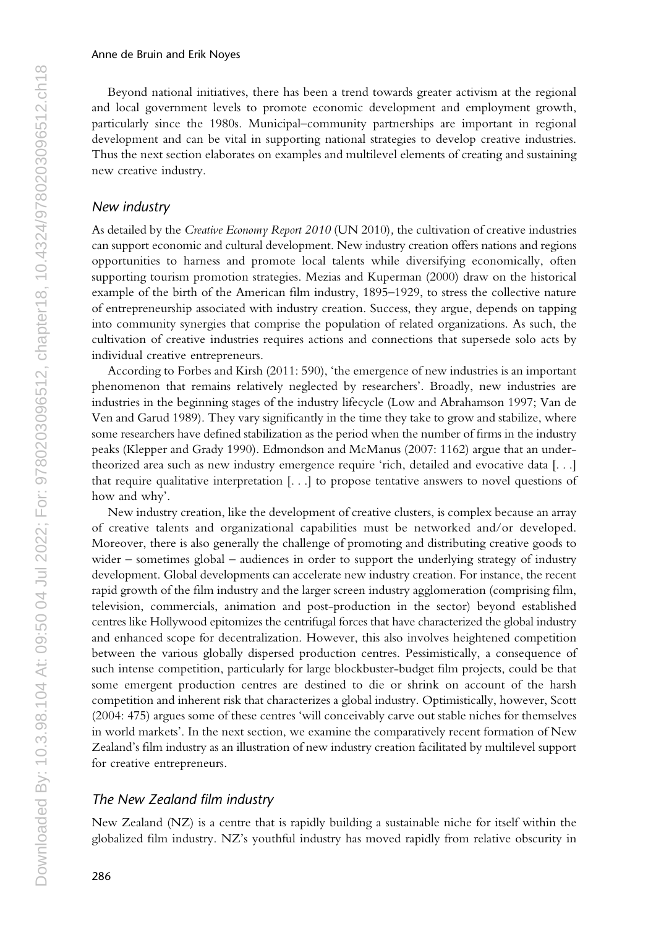Beyond national initiatives, there has been a trend towards greater activism at the regional and local government levels to promote economic development and employment growth, particularly since the 1980s. Municipal–community partnerships are important in regional development and can be vital in supporting national strategies to develop creative industries. Thus the next section elaborates on examples and multilevel elements of creating and sustaining new creative industry.

#### *New industry*

As detailed by the *Creative Economy Report 2010* (UN 2010)*,* the cultivation of creative industries can support economic and cultural development. New industry creation offers nations and regions opportunities to harness and promote local talents while diversifying economically, often supporting tourism promotion strategies. Mezias and Kuperman (2000) draw on the historical example of the birth of the American film industry, 1895–1929, to stress the collective nature of entrepreneurship associated with industry creation. Success, they argue, depends on tapping into community synergies that comprise the population of related organizations. As such, the cultivation of creative industries requires actions and connections that supersede solo acts by individual creative entrepreneurs.

According to Forbes and Kirsh (2011: 590), 'the emergence of new industries is an important phenomenon that remains relatively neglected by researchers'. Broadly, new industries are industries in the beginning stages of the industry lifecycle (Low and Abrahamson 1997; Van de Ven and Garud 1989). They vary significantly in the time they take to grow and stabilize, where some researchers have defined stabilization as the period when the number of firms in the industry peaks (Klepper and Grady 1990). Edmondson and McManus (2007: 1162) argue that an undertheorized area such as new industry emergence require 'rich, detailed and evocative data [. . .] that require qualitative interpretation [. . .] to propose tentative answers to novel questions of how and why'.

New industry creation, like the development of creative clusters, is complex because an array of creative talents and organizational capabilities must be networked and/or developed. Moreover, there is also generally the challenge of promoting and distributing creative goods to wider – sometimes global – audiences in order to support the underlying strategy of industry development. Global developments can accelerate new industry creation. For instance, the recent rapid growth of the film industry and the larger screen industry agglomeration (comprising film, television, commercials, animation and post-production in the sector) beyond established centres like Hollywood epitomizes the centrifugal forces that have characterized the global industry and enhanced scope for decentralization. However, this also involves heightened competition between the various globally dispersed production centres. Pessimistically, a consequence of such intense competition, particularly for large blockbuster-budget film projects, could be that some emergent production centres are destined to die or shrink on account of the harsh competition and inherent risk that characterizes a global industry. Optimistically, however, Scott (2004: 475) argues some of these centres 'will conceivably carve out stable niches for themselves in world markets'. In the next section, we examine the comparatively recent formation of New Zealand's film industry as an illustration of new industry creation facilitated by multilevel support for creative entrepreneurs.

## *The New Zealand film industry*

New Zealand (NZ) is a centre that is rapidly building a sustainable niche for itself within the globalized film industry. NZ's youthful industry has moved rapidly from relative obscurity in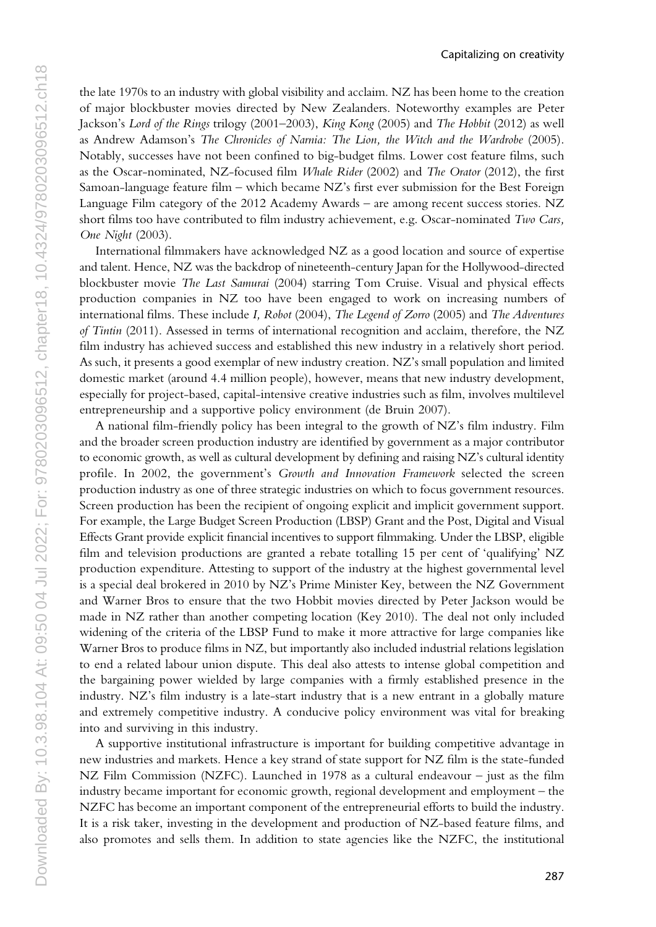the late 1970s to an industry with global visibility and acclaim. NZ has been home to the creation of major blockbuster movies directed by New Zealanders. Noteworthy examples are Peter Jackson's *Lord of the Rings* trilogy (2001–2003), *King Kong* (2005) and *The Hobbit* (2012) as well as Andrew Adamson's *The Chronicles of Narnia: The Lion, the Witch and the Wardrobe* (2005). Notably, successes have not been confined to big-budget films. Lower cost feature films, such as the Oscar-nominated, NZ-focused film *Whale Rider* (2002) and *The Orator* (2012), the first Samoan-language feature film – which became NZ's first ever submission for the Best Foreign Language Film category of the 2012 Academy Awards – are among recent success stories. NZ short films too have contributed to film industry achievement, e.g. Oscar-nominated *Two Cars, One Night* (2003).

International filmmakers have acknowledged NZ as a good location and source of expertise and talent. Hence, NZ was the backdrop of nineteenth-century Japan for the Hollywood-directed blockbuster movie *The Last Samurai* (2004) starring Tom Cruise. Visual and physical effects production companies in NZ too have been engaged to work on increasing numbers of international films. These include *I, Robot* (2004), *The Legend of Zorro* (2005) and *The Adventures of Tintin* (2011). Assessed in terms of international recognition and acclaim, therefore, the NZ film industry has achieved success and established this new industry in a relatively short period. As such, it presents a good exemplar of new industry creation. NZ's small population and limited domestic market (around 4.4 million people), however, means that new industry development, especially for project-based, capital-intensive creative industries such as film, involves multilevel entrepreneurship and a supportive policy environment (de Bruin 2007).

A national film-friendly policy has been integral to the growth of NZ's film industry. Film and the broader screen production industry are identified by government as a major contributor to economic growth, as well as cultural development by defining and raising NZ's cultural identity profile. In 2002, the government's *Growth and Innovation Framework* selected the screen production industry as one of three strategic industries on which to focus government resources. Screen production has been the recipient of ongoing explicit and implicit government support. For example, the Large Budget Screen Production (LBSP) Grant and the Post, Digital and Visual Effects Grant provide explicit financial incentives to support filmmaking. Under the LBSP, eligible film and television productions are granted a rebate totalling 15 per cent of 'qualifying' NZ production expenditure. Attesting to support of the industry at the highest governmental level is a special deal brokered in 2010 by NZ's Prime Minister Key, between the NZ Government and Warner Bros to ensure that the two Hobbit movies directed by Peter Jackson would be made in NZ rather than another competing location (Key 2010). The deal not only included widening of the criteria of the LBSP Fund to make it more attractive for large companies like Warner Bros to produce films in NZ, but importantly also included industrial relations legislation to end a related labour union dispute. This deal also attests to intense global competition and the bargaining power wielded by large companies with a firmly established presence in the industry. NZ's film industry is a late-start industry that is a new entrant in a globally mature and extremely competitive industry. A conducive policy environment was vital for breaking into and surviving in this industry.

A supportive institutional infrastructure is important for building competitive advantage in new industries and markets. Hence a key strand of state support for NZ film is the state-funded NZ Film Commission (NZFC). Launched in 1978 as a cultural endeavour – just as the film industry became important for economic growth, regional development and employment – the NZFC has become an important component of the entrepreneurial efforts to build the industry. It is a risk taker, investing in the development and production of NZ-based feature films, and also promotes and sells them. In addition to state agencies like the NZFC, the institutional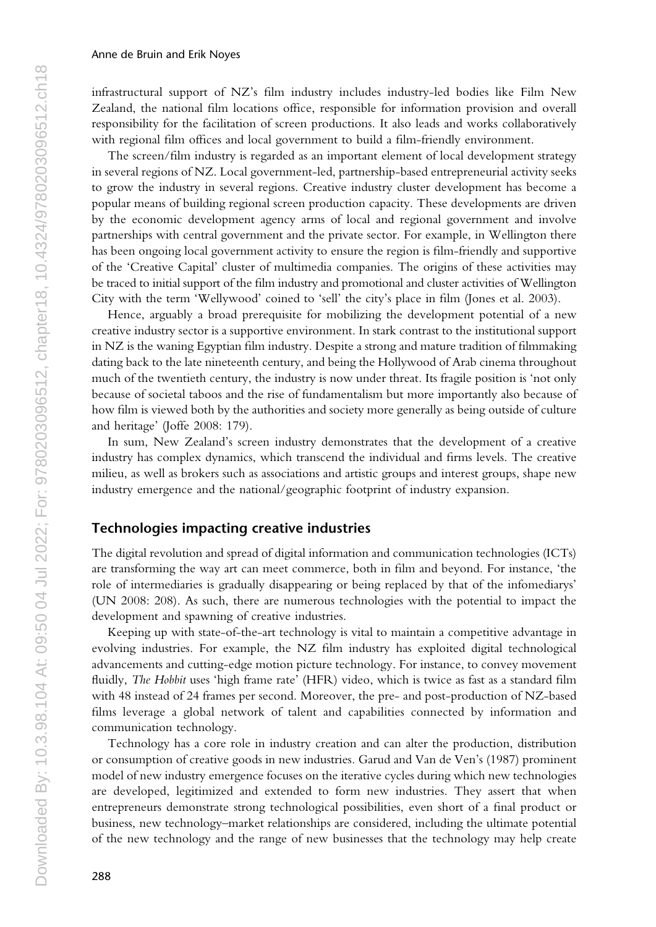infrastructural support of NZ's film industry includes industry-led bodies like Film New Zealand, the national film locations office, responsible for information provision and overall responsibility for the facilitation of screen productions. It also leads and works collaboratively with regional film offices and local government to build a film-friendly environment.

The screen/film industry is regarded as an important element of local development strategy in several regions of NZ. Local government-led, partnership-based entrepreneurial activity seeks to grow the industry in several regions. Creative industry cluster development has become a popular means of building regional screen production capacity. These developments are driven by the economic development agency arms of local and regional government and involve partnerships with central government and the private sector. For example, in Wellington there has been ongoing local government activity to ensure the region is film-friendly and supportive of the 'Creative Capital' cluster of multimedia companies. The origins of these activities may be traced to initial support of the film industry and promotional and cluster activities of Wellington City with the term 'Wellywood' coined to 'sell' the city's place in film (Jones et al. 2003).

Hence, arguably a broad prerequisite for mobilizing the development potential of a new creative industry sector is a supportive environment. In stark contrast to the institutional support in NZ is the waning Egyptian film industry. Despite a strong and mature tradition of filmmaking dating back to the late nineteenth century, and being the Hollywood of Arab cinema throughout much of the twentieth century, the industry is now under threat. Its fragile position is 'not only because of societal taboos and the rise of fundamentalism but more importantly also because of how film is viewed both by the authorities and society more generally as being outside of culture and heritage' (Joffe 2008: 179).

In sum, New Zealand's screen industry demonstrates that the development of a creative industry has complex dynamics, which transcend the individual and firms levels. The creative milieu, as well as brokers such as associations and artistic groups and interest groups, shape new industry emergence and the national/geographic footprint of industry expansion.

# **Technologies impacting creative industries**

The digital revolution and spread of digital information and communication technologies (ICTs) are transforming the way art can meet commerce, both in film and beyond. For instance, 'the role of intermediaries is gradually disappearing or being replaced by that of the infomediarys' (UN 2008: 208). As such, there are numerous technologies with the potential to impact the development and spawning of creative industries.

Keeping up with state-of-the-art technology is vital to maintain a competitive advantage in evolving industries. For example, the NZ film industry has exploited digital technological advancements and cutting-edge motion picture technology. For instance, to convey movement fluidly, *The Hobbit* uses 'high frame rate' (HFR) video, which is twice as fast as a standard film with 48 instead of 24 frames per second. Moreover, the pre- and post-production of NZ-based films leverage a global network of talent and capabilities connected by information and communication technology.

Technology has a core role in industry creation and can alter the production, distribution or consumption of creative goods in new industries. Garud and Van de Ven's (1987) prominent model of new industry emergence focuses on the iterative cycles during which new technologies are developed, legitimized and extended to form new industries. They assert that when entrepreneurs demonstrate strong technological possibilities, even short of a final product or business, new technology–market relationships are considered, including the ultimate potential of the new technology and the range of new businesses that the technology may help create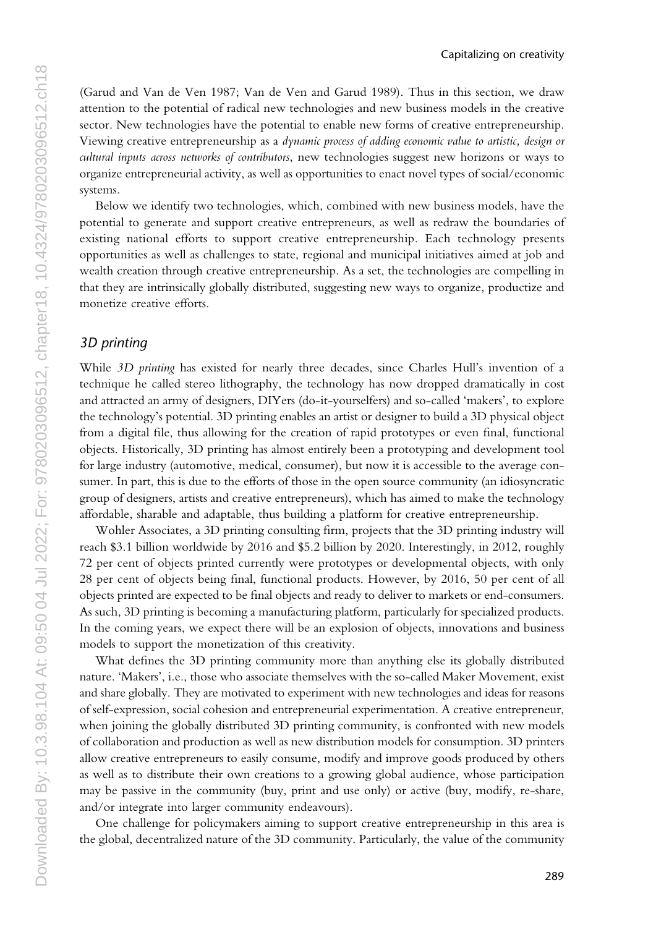(Garud and Van de Ven 1987; Van de Ven and Garud 1989). Thus in this section, we draw attention to the potential of radical new technologies and new business models in the creative sector. New technologies have the potential to enable new forms of creative entrepreneurship. Viewing creative entrepreneurship as a *dynamic process of adding economic value to artistic, design or cultural inputs across networks of contributors*, new technologies suggest new horizons or ways to organize entrepreneurial activity, as well as opportunities to enact novel types of social/economic systems.

Below we identify two technologies, which, combined with new business models, have the potential to generate and support creative entrepreneurs, as well as redraw the boundaries of existing national efforts to support creative entrepreneurship. Each technology presents opportunities as well as challenges to state, regional and municipal initiatives aimed at job and wealth creation through creative entrepreneurship. As a set, the technologies are compelling in that they are intrinsically globally distributed, suggesting new ways to organize, productize and monetize creative efforts.

#### *3D printing*

While *3D printing* has existed for nearly three decades, since Charles Hull's invention of a technique he called stereo lithography, the technology has now dropped dramatically in cost and attracted an army of designers, DIYers (do-it-yourselfers) and so-called 'makers', to explore the technology's potential. 3D printing enables an artist or designer to build a 3D physical object from a digital file, thus allowing for the creation of rapid prototypes or even final, functional objects. Historically, 3D printing has almost entirely been a prototyping and development tool for large industry (automotive, medical, consumer), but now it is accessible to the average con sumer. In part, this is due to the efforts of those in the open source community (an idiosyncratic group of designers, artists and creative entrepreneurs), which has aimed to make the technology affordable, sharable and adaptable, thus building a platform for creative entrepreneurship.

Wohler Associates, a 3D printing consulting firm, projects that the 3D printing industry will reach \$3.1 billion worldwide by 2016 and \$5.2 billion by 2020. Interestingly, in 2012, roughly 72 per cent of objects printed currently were prototypes or developmental objects, with only 28 per cent of objects being final, functional products. However, by 2016, 50 per cent of all objects printed are expected to be final objects and ready to deliver to markets or end-consumers. As such, 3D printing is becoming a manufacturing platform, particularly for specialized products. In the coming years, we expect there will be an explosion of objects, innovations and business models to support the monetization of this creativity.

What defines the 3D printing community more than anything else its globally distributed nature. 'Makers', i.e., those who associate themselves with the so-called Maker Movement, exist and share globally. They are motivated to experiment with new technologies and ideas for reasons of self-expression, social cohesion and entrepreneurial experimentation. A creative entrepreneur, when joining the globally distributed 3D printing community, is confronted with new models of collaboration and production as well as new distribution models for consumption. 3D printers allow creative entrepreneurs to easily consume, modify and improve goods produced by others as well as to distribute their own creations to a growing global audience, whose participation may be passive in the community (buy, print and use only) or active (buy, modify, re-share, and/or integrate into larger community endeavours).

One challenge for policymakers aiming to support creative entrepreneurship in this area is the global, decentralized nature of the 3D community. Particularly, the value of the community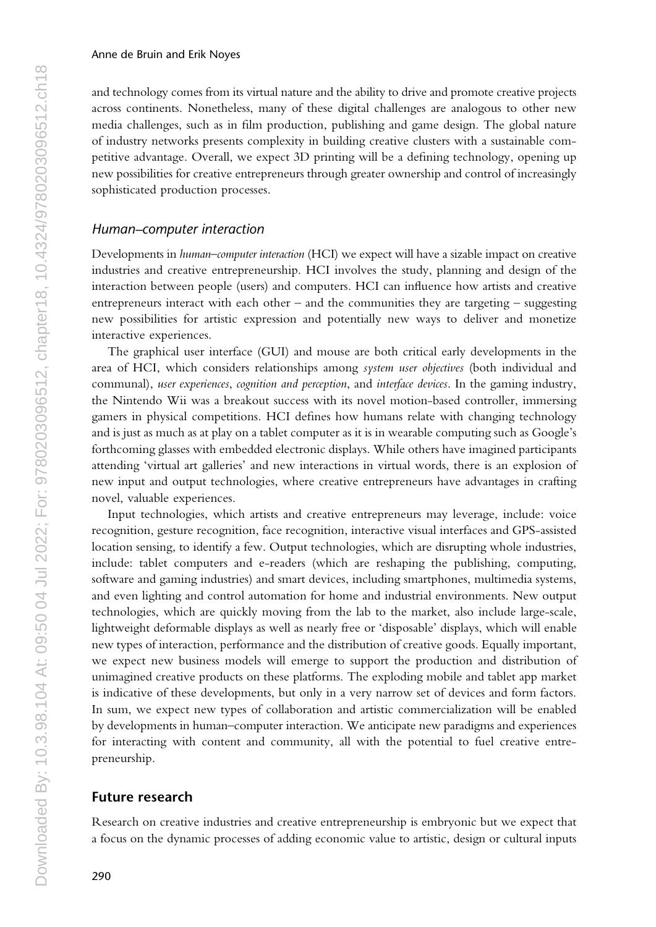and technology comes from its virtual nature and the ability to drive and promote creative projects across continents. Nonetheless, many of these digital challenges are analogous to other new media challenges, such as in film production, publishing and game design. The global nature of industry networks presents complexity in building creative clusters with a sustainable com petitive advantage. Overall, we expect 3D printing will be a defining technology, opening up new possibilities for creative entrepreneurs through greater ownership and control of increasingly sophisticated production processes.

#### *Human–computer interaction*

Developments in *human–computer interaction* (HCI) we expect will have a sizable impact on creative industries and creative entrepreneurship. HCI involves the study, planning and design of the interaction between people (users) and computers. HCI can influence how artists and creative entrepreneurs interact with each other – and the communities they are targeting – suggesting new possibilities for artistic expression and potentially new ways to deliver and monetize interactive experiences.

The graphical user interface (GUI) and mouse are both critical early developments in the area of HCI, which considers relationships among *system user objectives* (both individual and communal), *user experiences*, *cognition and perception*, and *interface devices*. In the gaming industry, the Nintendo Wii was a breakout success with its novel motion-based controller, immersing gamers in physical competitions. HCI defines how humans relate with changing technology and is just as much as at play on a tablet computer as it is in wearable computing such as Google's forthcoming glasses with embedded electronic displays. While others have imagined participants attending 'virtual art galleries' and new interactions in virtual words, there is an explosion of new input and output technologies, where creative entrepreneurs have advantages in crafting novel, valuable experiences.

Input technologies, which artists and creative entrepreneurs may leverage, include: voice recognition, gesture recognition, face recognition, interactive visual interfaces and GPS-assisted location sensing, to identify a few. Output technologies, which are disrupting whole industries, include: tablet computers and e-readers (which are reshaping the publishing, computing, software and gaming industries) and smart devices, including smartphones, multimedia systems, and even lighting and control automation for home and industrial environments. New output technologies, which are quickly moving from the lab to the market, also include large-scale, lightweight deformable displays as well as nearly free or 'disposable' displays, which will enable new types of interaction, performance and the distribution of creative goods. Equally important, we expect new business models will emerge to support the production and distribution of unimagined creative products on these platforms. The exploding mobile and tablet app market is indicative of these developments, but only in a very narrow set of devices and form factors. In sum, we expect new types of collaboration and artistic commercialization will be enabled by developments in human–computer interaction. We anticipate new paradigms and experiences for interacting with content and community, all with the potential to fuel creative entre preneurship.

#### **Future research**

Research on creative industries and creative entrepreneurship is embryonic but we expect that a focus on the dynamic processes of adding economic value to artistic, design or cultural inputs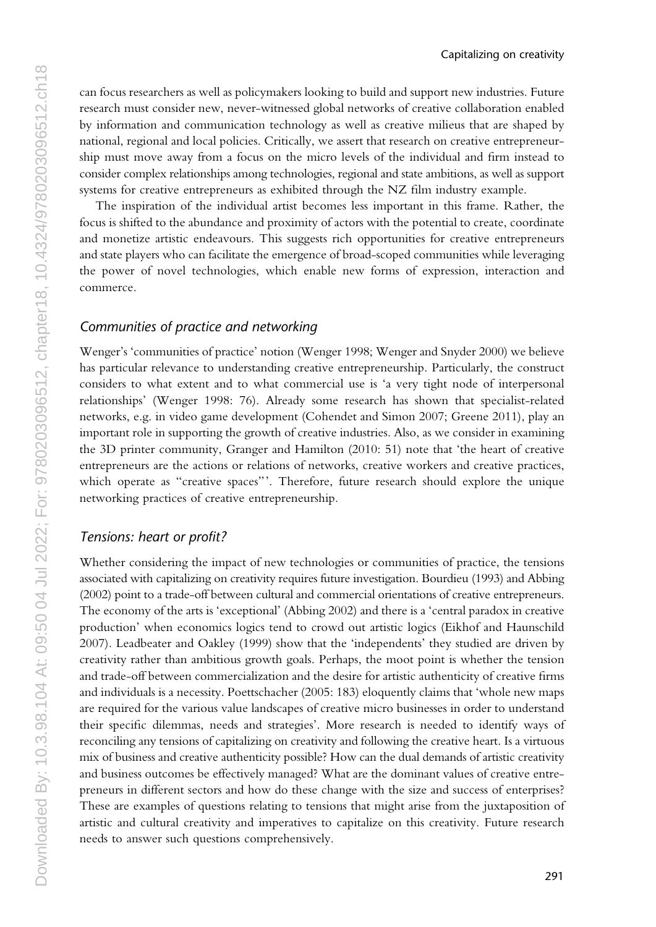can focus researchers as well as policymakers looking to build and support new industries. Future research must consider new, never-witnessed global networks of creative collaboration enabled by information and communication technology as well as creative milieus that are shaped by national, regional and local policies. Critically, we assert that research on creative entrepreneur ship must move away from a focus on the micro levels of the individual and firm instead to consider complex relationships among technologies, regional and state ambitions, as well as support systems for creative entrepreneurs as exhibited through the NZ film industry example.

The inspiration of the individual artist becomes less important in this frame. Rather, the focus is shifted to the abundance and proximity of actors with the potential to create, coordinate and monetize artistic endeavours. This suggests rich opportunities for creative entrepreneurs and state players who can facilitate the emergence of broad-scoped communities while leveraging the power of novel technologies, which enable new forms of expression, interaction and commerce.

# *Communities of practice and networking*

Wenger's 'communities of practice' notion (Wenger 1998; Wenger and Snyder 2000) we believe has particular relevance to understanding creative entrepreneurship. Particularly, the construct considers to what extent and to what commercial use is 'a very tight node of interpersonal relationships' (Wenger 1998: 76). Already some research has shown that specialist-related networks, e.g. in video game development (Cohendet and Simon 2007; Greene 2011), play an important role in supporting the growth of creative industries. Also, as we consider in examining the 3D printer community, Granger and Hamilton (2010: 51) note that 'the heart of creative entrepreneurs are the actions or relations of networks, creative workers and creative practices, which operate as "creative spaces"'. Therefore, future research should explore the unique networking practices of creative entrepreneurship.

# *Tensions: heart or profit?*

Whether considering the impact of new technologies or communities of practice, the tensions associated with capitalizing on creativity requires future investigation. Bourdieu (1993) and Abbing (2002) point to a trade-off between cultural and commercial orientations of creative entrepreneurs. The economy of the arts is 'exceptional' (Abbing 2002) and there is a 'central paradox in creative production' when economics logics tend to crowd out artistic logics (Eikhof and Haunschild 2007). Leadbeater and Oakley (1999) show that the 'independents' they studied are driven by creativity rather than ambitious growth goals. Perhaps, the moot point is whether the tension and trade-off between commercialization and the desire for artistic authenticity of creative firms and individuals is a necessity. Poettschacher (2005: 183) eloquently claims that 'whole new maps are required for the various value landscapes of creative micro businesses in order to understand their specific dilemmas, needs and strategies'. More research is needed to identify ways of reconciling any tensions of capitalizing on creativity and following the creative heart. Is a virtuous mix of business and creative authenticity possible? How can the dual demands of artistic creativity and business outcomes be effectively managed? What are the dominant values of creative entre preneurs in different sectors and how do these change with the size and success of enterprises? These are examples of questions relating to tensions that might arise from the juxtaposition of artistic and cultural creativity and imperatives to capitalize on this creativity. Future research needs to answer such questions comprehensively.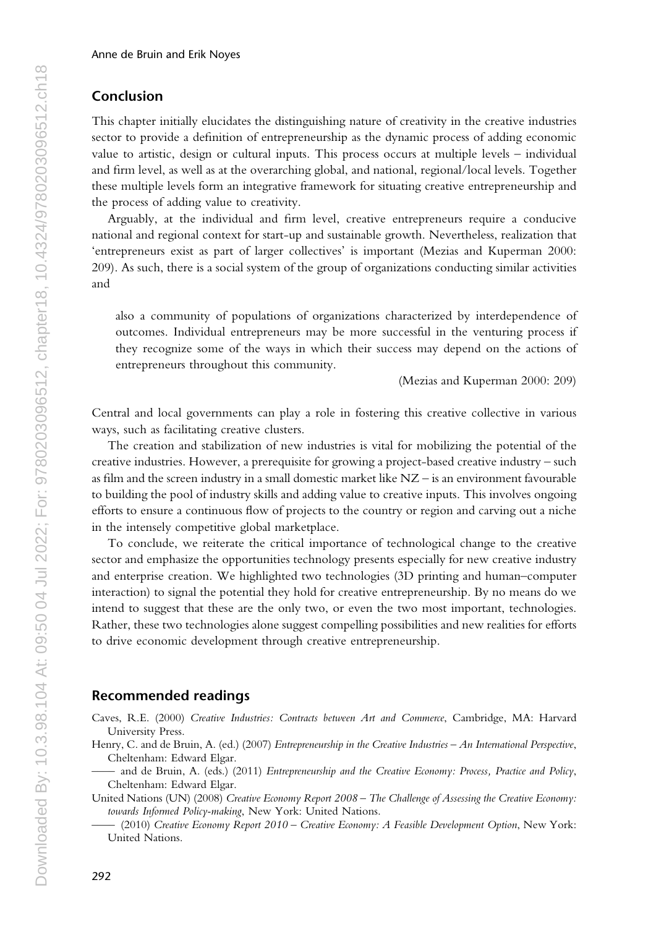# **Conclusion**

This chapter initially elucidates the distinguishing nature of creativity in the creative industries sector to provide a definition of entrepreneurship as the dynamic process of adding economic value to artistic, design or cultural inputs. This process occurs at multiple levels – individual and firm level, as well as at the overarching global, and national, regional/local levels. Together these multiple levels form an integrative framework for situating creative entrepreneurship and the process of adding value to creativity.

Arguably, at the individual and firm level, creative entrepreneurs require a conducive national and regional context for start-up and sustainable growth. Nevertheless, realization that 'entrepreneurs exist as part of larger collectives' is important (Mezias and Kuperman 2000: 209). As such, there is a social system of the group of organizations conducting similar activities and

also a community of populations of organizations characterized by interdependence of outcomes. Individual entrepreneurs may be more successful in the venturing process if they recognize some of the ways in which their success may depend on the actions of entrepreneurs throughout this community.

(Mezias and Kuperman 2000: 209)

Central and local governments can play a role in fostering this creative collective in various ways, such as facilitating creative clusters.

The creation and stabilization of new industries is vital for mobilizing the potential of the creative industries. However, a prerequisite for growing a project-based creative industry – such as film and the screen industry in a small domestic market like NZ – is an environment favourable to building the pool of industry skills and adding value to creative inputs. This involves ongoing efforts to ensure a continuous flow of projects to the country or region and carving out a niche in the intensely competitive global marketplace.

To conclude, we reiterate the critical importance of technological change to the creative sector and emphasize the opportunities technology presents especially for new creative industry and enterprise creation. We highlighted two technologies (3D printing and human–computer interaction) to signal the potential they hold for creative entrepreneurship. By no means do we intend to suggest that these are the only two, or even the two most important, technologies. Rather, these two technologies alone suggest compelling possibilities and new realities for efforts to drive economic development through creative entrepreneurship.

#### **Recommended readings**

- Caves, R.E. (2000) *Creative Industries: Contracts between Art and Commerce*, Cambridge, MA: Harvard University Press.
- Henry, C. and de Bruin, A. (ed.) (2007) *Entrepreneurship in the Creative Industries An International Perspective*, Cheltenham: Edward Elgar.
	- –––– and de Bruin, A. (eds.) (2011) *Entrepreneurship and the Creative Economy: Process, Practice and Policy*, Cheltenham: Edward Elgar.

United Nations (UN) (2008) *Creative Economy Report 2008 – The Challenge of Assessing the Creative Economy: towards Informed Policy-making*, New York: United Nations.

–––– (2010) *Creative Economy Report 2010* – *Creative Economy: A Feasible Development Option*, New York: United Nations.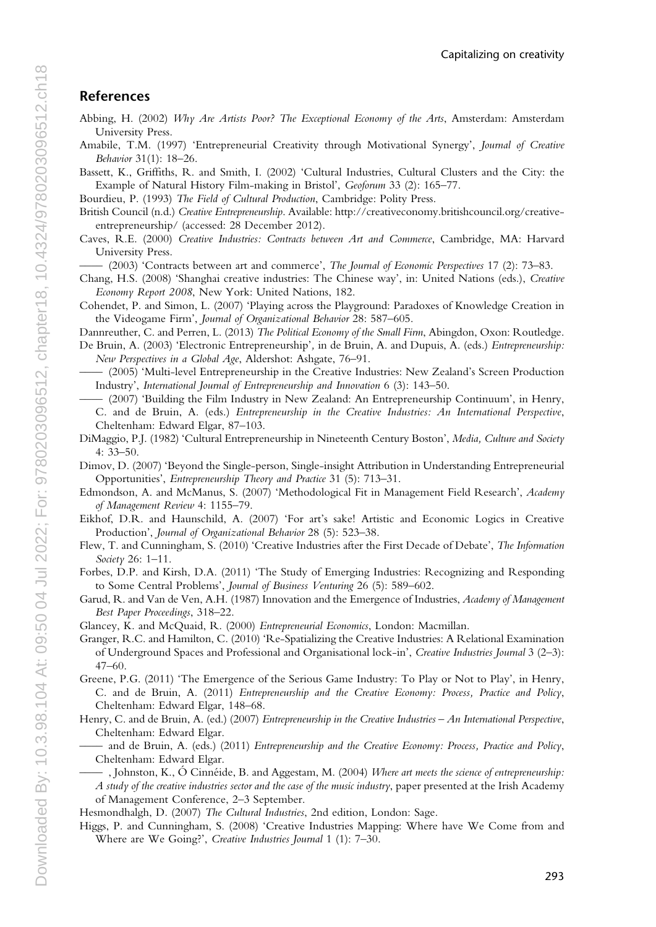# **References**

- Abbing, H. (2002) *Why Are Artists Poor? The Exceptional Economy of the Arts*, Amsterdam: Amsterdam University Press.
- Amabile, T.M. (1997) 'Entrepreneurial Creativity through Motivational Synergy', *Journal of Creative Behavior* 31(1): 18–26.

Bassett, K., Griffiths, R. and Smith, I. (2002) 'Cultural Industries, Cultural Clusters and the City: the Example of Natural History Film-making in Bristol', *Geoforum* 33 (2): 165–77.

- Bourdieu, P. (1993) *The Field of Cultural Production*, Cambridge: Polity Press.
- British Council (n.d.) *Creative Entrepreneurship*. Available: http://creativeconomy.britishcouncil.org/creativeentrepreneurship/ (accessed: 28 December 2012).
- Caves, R.E. (2000) *Creative Industries: Contracts between Art and Commerce*, Cambridge, MA: Harvard University Press.
- –––– (2003) 'Contracts between art and commerce', *The Journal of Economic Perspectives* 17 (2): 73–83.
- Chang, H.S. (2008) 'Shanghai creative industries: The Chinese way', in: United Nations (eds.), *Creative Economy Report 2008*, New York: United Nations, 182.
- Cohendet, P. and Simon, L. (2007) 'Playing across the Playground: Paradoxes of Knowledge Creation in the Videogame Firm', *Journal of Organizational Behavior* 28: 587–605.

Dannreuther, C. and Perren, L. (2013) *The Political Economy of the Small Firm*, Abingdon, Oxon: Routledge.

- De Bruin, A. (2003) 'Electronic Entrepreneurship'*,* in de Bruin, A. and Dupuis, A. (eds.) *Entrepreneurship: New Perspectives in a Global Age*, Aldershot: Ashgate, 76–91.
- –––– (2005) 'Multi-level Entrepreneurship in the Creative Industries: New Zealand's Screen Production Industry', *International Journal of Entrepreneurship and Innovation* 6 (3): 143–50.
- –––– (2007) 'Building the Film Industry in New Zealand: An Entrepreneurship Continuum', in Henry, C. and de Bruin, A. (eds.) *Entrepreneurship in the Creative Industries: An International Perspective*, Cheltenham: Edward Elgar, 87–103.
- DiMaggio, P.J. (1982) 'Cultural Entrepreneurship in Nineteenth Century Boston', *Media, Culture and Society*  4: 33–50.
- Dimov, D. (2007) 'Beyond the Single-person, Single-insight Attribution in Understanding Entrepreneurial Opportunities', *Entrepreneurship Theory and Practice* 31 (5): 713–31.
- Edmondson, A. and McManus, S. (2007) 'Methodological Fit in Management Field Research', *Academy of Management Review* 4: 1155–79.
- Eikhof, D.R. and Haunschild, A. (2007) 'For art's sake! Artistic and Economic Logics in Creative Production', *Journal of Organizational Behavior* 28 (5): 523–38.
- Flew, T. and Cunningham, S. (2010) 'Creative Industries after the First Decade of Debate', *The Information Society* 26: 1–11.
- Forbes, D.P. and Kirsh, D.A. (2011) 'The Study of Emerging Industries: Recognizing and Responding to Some Central Problems', *Journal of Business Venturing* 26 (5): 589–602.
- Garud, R. and Van de Ven, A.H. (1987) Innovation and the Emergence of Industries, *Academy of Management Best Paper Proceedings*, 318–22.
- Glancey, K. and McQuaid, R. (2000) *Entrepreneurial Economics*, London: Macmillan.
- Granger, R.C. and Hamilton, C. (2010) 'Re-Spatializing the Creative Industries: A Relational Examination of Underground Spaces and Professional and Organisational lock-in', *Creative Industries Journal* 3 (2–3): 47–60.
- Greene, P.G. (2011) 'The Emergence of the Serious Game Industry: To Play or Not to Play', in Henry, C. and de Bruin, A. (2011) *Entrepreneurship and the Creative Economy: Process, Practice and Policy*, Cheltenham: Edward Elgar, 148–68.
- Henry, C. and de Bruin, A. (ed.) (2007) *Entrepreneurship in the Creative Industries An International Perspective*, Cheltenham: Edward Elgar.
	- –––– and de Bruin, A. (eds.) (2011) *Entrepreneurship and the Creative Economy: Process, Practice and Policy*, Cheltenham: Edward Elgar.
	- –––– , Johnston, K., Ó Cinnéide, B. and Aggestam, M. (2004) *Where art meets the science of entrepreneurship: A study of the creative industries sector and the case of the music industry*, paper presented at the Irish Academy of Management Conference, 2–3 September.
- Hesmondhalgh, D. (2007) *The Cultural Industries*, 2nd edition, London: Sage.
- Higgs, P. and Cunningham, S. (2008) 'Creative Industries Mapping: Where have We Come from and Where are We Going?', *Creative Industries Journal* 1 (1): 7–30.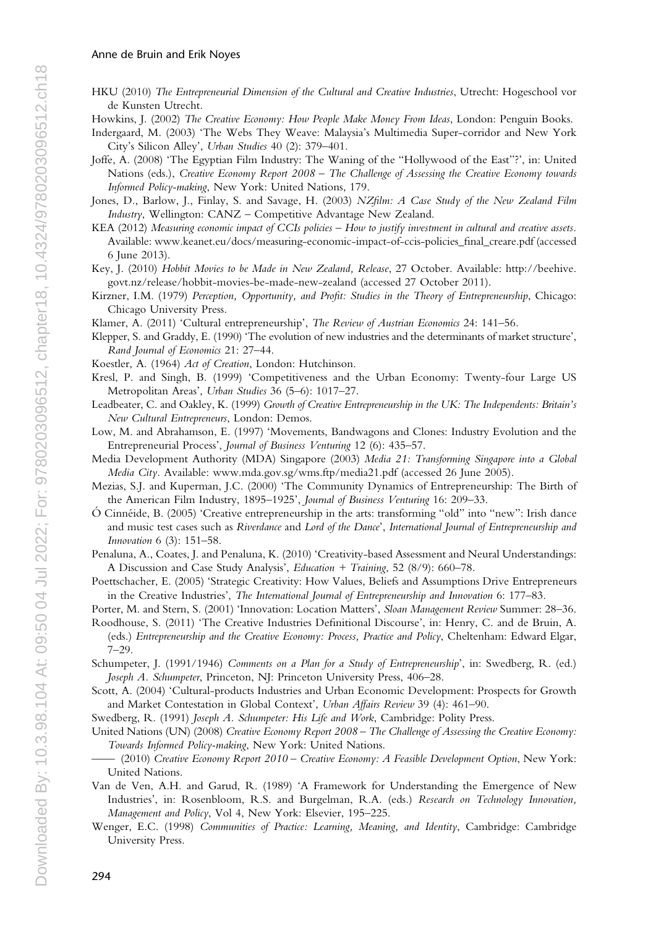- HKU (2010) *The Entrepreneurial Dimension of the Cultural and Creative Industries*, Utrecht: Hogeschool vor de Kunsten Utrecht.
- Howkins, J. (2002) *The Creative Economy: How People Make Money From Ideas*, London: Penguin Books.
- Indergaard, M. (2003) 'The Webs They Weave: Malaysia's Multimedia Super-corridor and New York City's Silicon Alley', *Urban Studies* 40 (2): 379–401.
- Joffe, A. (2008) 'The Egyptian Film Industry: The Waning of the "Hollywood of the East"?', in: United Nations (eds.), *Creative Economy Report 2008 – The Challenge of Assessing the Creative Economy towards Informed Policy-making*, New York: United Nations, 179.
- Jones, D., Barlow, J., Finlay, S. and Savage, H. (2003) *NZfilm: A Case Study of the New Zealand Film Industry*, Wellington: CANZ – Competitive Advantage New Zealand.
- KEA (2012) *Measuring economic impact of CCIs policies How to justify investment in cultural and creative assets.*  Available: www.keanet.eu/docs/measuring-economic-impact-of-ccis-policies\_final\_creare.pdf (accessed 6 June 2013).
- Key, J. (2010) *Hobbit Movies to be Made in New Zealand, Release*, 27 October. Available: http://beehive. govt.nz/release/hobbit-movies-be-made-new-zealand (accessed 27 October 2011).
- Kirzner, I.M. (1979) *Perception, Opportunity, and Profit: Studies in the Theory of Entrepreneurship*, Chicago: Chicago University Press.
- Klamer, A. (2011) 'Cultural entrepreneurship', *The Review of Austrian Economics* 24: 141–56.
- Klepper, S. and Graddy, E. (1990) 'The evolution of new industries and the determinants of market structure', *Rand Journal of Economics* 21: 27–44.
- Koestler, A. (1964) *Act of Creation*, London: Hutchinson.
- Kresl, P. and Singh, B. (1999) 'Competitiveness and the Urban Economy: Twenty-four Large US Metropolitan Areas', *Urban Studies* 36 (5–6): 1017–27.
- Leadbeater, C. and Oakley, K. (1999) *Growth of Creative Entrepreneurship in the UK: The Independents: Britain's New Cultural Entrepreneurs*, London: Demos.
- Low, M. and Abrahamson, E. (1997) 'Movements, Bandwagons and Clones: Industry Evolution and the Entrepreneurial Process', *Journal of Business Venturing* 12 (6): 435–57.
- Media Development Authority (MDA) Singapore (2003) *Media 21: Transforming Singapore into a Global Media City.* Available: www.mda.gov.sg/wms.ftp/media21.pdf (accessed 26 June 2005).
- Mezias, S.J. and Kuperman, J.C. (2000) 'The Community Dynamics of Entrepreneurship: The Birth of the American Film Industry, 1895–1925', *Journal of Business Venturing* 16: 209–33.
- Ó Cinnéide, B. (2005) 'Creative entrepreneurship in the arts: transforming "old" into "new": Irish dance and music test cases such as *Riverdance* and *Lord of the Dance*', *International Journal of Entrepreneurship and Innovation* 6 (3): 151–58.
- Penaluna, A., Coates, J. and Penaluna, K. (2010) 'Creativity-based Assessment and Neural Understandings: A Discussion and Case Study Analysis', *Education + Training*, 52 (8/9): 660–78.
- Poettschacher, E. (2005) 'Strategic Creativity: How Values, Beliefs and Assumptions Drive Entrepreneurs in the Creative Industries', *The International Journal of Entrepreneurship and Innovation* 6: 177–83.
- Porter, M. and Stern, S. (2001) 'Innovation: Location Matters', *Sloan Management Review* Summer: 28–36.
- Roodhouse, S. (2011) 'The Creative Industries Definitional Discourse', in: Henry, C. and de Bruin, A. (eds.) *Entrepreneurship and the Creative Economy: Process, Practice and Policy*, Cheltenham: Edward Elgar, 7–29.
- Schumpeter, J. (1991/1946) *Comments on a Plan for a Study of Entrepreneurship*', in: Swedberg, R. (ed.) *Joseph A. Schumpeter*, Princeton, NJ: Princeton University Press, 406–28.
- Scott, A. (2004) 'Cultural-products Industries and Urban Economic Development: Prospects for Growth and Market Contestation in Global Context', *Urban Affairs Review* 39 (4): 461–90.
- Swedberg, R. (1991) *Joseph A. Schumpeter: His Life and Work*, Cambridge: Polity Press.
- United Nations (UN) (2008) *Creative Economy Report 2008 The Challenge of Assessing the Creative Economy: Towards Informed Policy-making*, New York: United Nations.
- –––– (2010) *Creative Economy Report 2010 Creative Economy: A Feasible Development Option*, New York: United Nations.
- Van de Ven, A.H. and Garud, R. (1989) 'A Framework for Understanding the Emergence of New Industries', in: Rosenbloom, R.S. and Burgelman, R.A. (eds.) *Research on Technology Innovation, Management and Policy*, Vol 4, New York: Elsevier, 195–225.
- Wenger, E.C. (1998) *Communities of Practice: Learning, Meaning, and Identity*, Cambridge: Cambridge University Press.